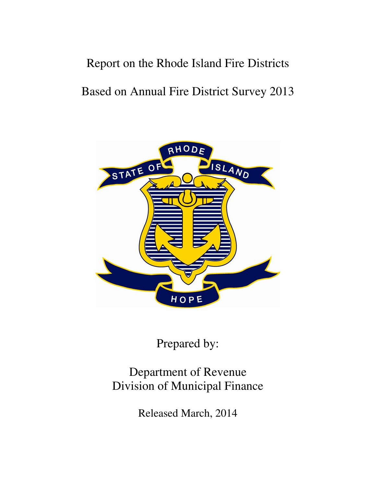# Report on the Rhode Island Fire Districts

# Based on Annual Fire District Survey 2013



Prepared by:

# Department of Revenue Division of Municipal Finance

Released March, 2014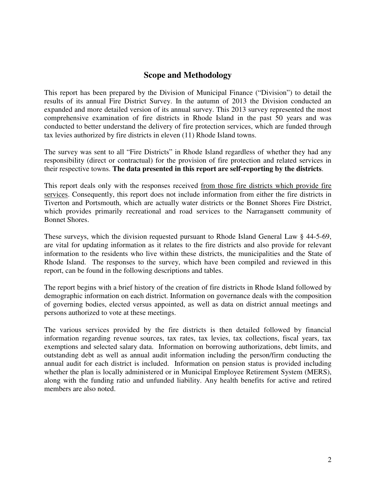## **Scope and Methodology**

This report has been prepared by the Division of Municipal Finance ("Division") to detail the results of its annual Fire District Survey. In the autumn of 2013 the Division conducted an expanded and more detailed version of its annual survey. This 2013 survey represented the most comprehensive examination of fire districts in Rhode Island in the past 50 years and was conducted to better understand the delivery of fire protection services, which are funded through tax levies authorized by fire districts in eleven (11) Rhode Island towns.

The survey was sent to all "Fire Districts" in Rhode Island regardless of whether they had any responsibility (direct or contractual) for the provision of fire protection and related services in their respective towns. **The data presented in this report are self-reporting by the districts**.

This report deals only with the responses received from those fire districts which provide fire services. Consequently, this report does not include information from either the fire districts in Tiverton and Portsmouth, which are actually water districts or the Bonnet Shores Fire District, which provides primarily recreational and road services to the Narragansett community of Bonnet Shores.

These surveys, which the division requested pursuant to Rhode Island General Law § 44-5-69, are vital for updating information as it relates to the fire districts and also provide for relevant information to the residents who live within these districts, the municipalities and the State of Rhode Island. The responses to the survey, which have been compiled and reviewed in this report, can be found in the following descriptions and tables.

The report begins with a brief history of the creation of fire districts in Rhode Island followed by demographic information on each district. Information on governance deals with the composition of governing bodies, elected versus appointed, as well as data on district annual meetings and persons authorized to vote at these meetings.

The various services provided by the fire districts is then detailed followed by financial information regarding revenue sources, tax rates, tax levies, tax collections, fiscal years, tax exemptions and selected salary data. Information on borrowing authorizations, debt limits, and outstanding debt as well as annual audit information including the person/firm conducting the annual audit for each district is included. Information on pension status is provided including whether the plan is locally administered or in Municipal Employee Retirement System (MERS), along with the funding ratio and unfunded liability. Any health benefits for active and retired members are also noted.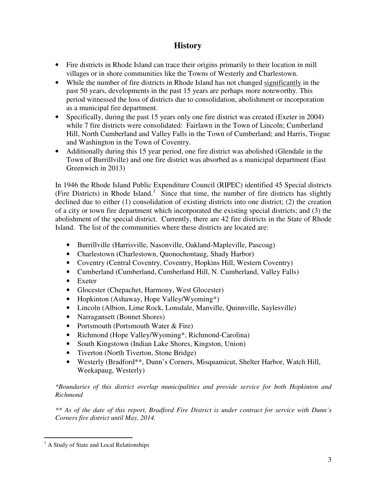## **History**

- Fire districts in Rhode Island can trace their origins primarily to their location in mill villages or in shore communities like the Towns of Westerly and Charlestown.
- While the number of fire districts in Rhode Island has not changed significantly in the past 50 years, developments in the past 15 years are perhaps more noteworthy. This period witnessed the loss of districts due to consolidation, abolishment or incorporation as a municipal fire department.
- Specifically, during the past 15 years only one fire district was created (Exeter in 2004) while 7 fire districts were consolidated: Fairlawn in the Town of Lincoln; Cumberland Hill, North Cumberland and Valley Falls in the Town of Cumberland; and Harris, Tiogue and Washington in the Town of Coventry.
- Additionally during this 15 year period, one fire district was abolished (Glendale in the Town of Burrillville) and one fire district was absorbed as a municipal department (East Greenwich in 2013)

In 1946 the Rhode Island Public Expenditure Council (RIPEC) identified 45 Special districts (Fire Districts) in Rhode Island.<sup>1</sup> Since that time, the number of fire districts has slightly declined due to either (1) consolidation of existing districts into one district; (2) the creation of a city or town fire department which incorporated the existing special districts; and (3) the abolishment of the special district. Currently, there are 42 fire districts in the State of Rhode Island. The list of the communities where these districts are located are:

- Burrillville (Harrisville, Nasonville, Oakland-Mapleville, Pascoag)
- Charlestown (Charlestown, Quonochontaug, Shady Harbor)
- Coventry (Central Coventry, Coventry, Hopkins Hill, Western Coventry)
- Cumberland (Cumberland, Cumberland Hill, N. Cumberland, Valley Falls)
- Exeter
- Glocester (Chepachet, Harmony, West Glocester)
- Hopkinton (Ashaway, Hope Valley/Wyoming\*)
- Lincoln (Albion, Lime Rock, Lonsdale, Manville, Quinnville, Saylesville)
- Narragansett (Bonnet Shores)
- Portsmouth (Portsmouth Water & Fire)
- Richmond (Hope Valley/Wyoming\*, Richmond-Carolina)
- South Kingstown (Indian Lake Shores, Kingston, Union)
- Tiverton (North Tiverton, Stone Bridge)
- Westerly (Bradford\*\*, Dunn's Corners, Misquamicut, Shelter Harbor, Watch Hill, Weekapaug, Westerly)

#### *\*Boundaries of this district overlap municipalities and provide service for both Hopkinton and Richmond*

*\*\* As of the date of this report, Bradford Fire District is under contract for service with Dunn's Corners fire district until May, 2014.* 

<sup>&</sup>lt;sup>1</sup> A Study of State and Local Relationships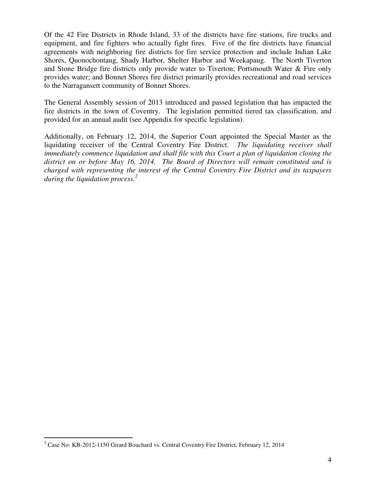Of the 42 Fire Districts in Rhode Island, 33 of the districts have fire stations, fire trucks and equipment, and fire fighters who actually fight fires. Five of the fire districts have financial agreements with neighboring fire districts for fire service protection and include Indian Lake Shores, Quonochontaug, Shady Harbor, Shelter Harbor and Weekapaug. The North Tiverton and Stone Bridge fire districts only provide water to Tiverton; Portsmouth Water & Fire only provides water; and Bonnet Shores fire district primarily provides recreational and road services to the Narragansett community of Bonnet Shores.

The General Assembly session of 2013 introduced and passed legislation that has impacted the fire districts in the town of Coventry. The legislation permitted tiered tax classification, and provided for an annual audit (see Appendix for specific legislation).

Additionally, on February 12, 2014, the Superior Court appointed the Special Master as the liquidating receiver of the Central Coventry Fire District. *The liquidating receiver shall immediately commence liquidation and shall file with this Court a plan of liquidation closing the district on or before May 16, 2014. The Board of Directors will remain constituted and is charged with representing the interest of the Central Coventry Fire District and its taxpayers during the liquidation process.<sup>2</sup>*

<sup>&</sup>lt;sup>2</sup> Case No: KB-2012-1150 Girard Bouchard vs. Central Coventry Fire District, February 12, 2014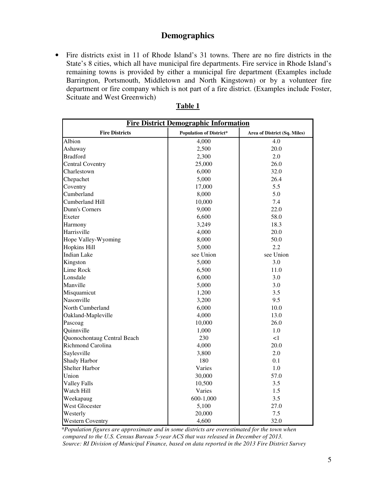## **Demographics**

• Fire districts exist in 11 of Rhode Island's 31 towns. There are no fire districts in the State's 8 cities, which all have municipal fire departments. Fire service in Rhode Island's remaining towns is provided by either a municipal fire department (Examples include Barrington, Portsmouth, Middletown and North Kingstown) or by a volunteer fire department or fire company which is not part of a fire district. (Examples include Foster, Scituate and West Greenwich)

| <b>Fire District Demographic Information</b> |                                |                              |  |  |  |  |  |
|----------------------------------------------|--------------------------------|------------------------------|--|--|--|--|--|
| <b>Fire Districts</b>                        | <b>Population of District*</b> | Area of District (Sq. Miles) |  |  |  |  |  |
| Albion                                       | 4,000                          | 4.0                          |  |  |  |  |  |
| Ashaway                                      | 2,500                          | 20.0                         |  |  |  |  |  |
| <b>Bradford</b>                              | 2,300                          | 2.0                          |  |  |  |  |  |
| <b>Central Coventry</b>                      | 25,000                         | 26.0                         |  |  |  |  |  |
| Charlestown                                  | 6,000                          | 32.0                         |  |  |  |  |  |
| Chepachet                                    | 5,000                          | 26.4                         |  |  |  |  |  |
| Coventry                                     | 17,000                         | 5.5                          |  |  |  |  |  |
| Cumberland                                   | 8,000                          | 5.0                          |  |  |  |  |  |
| Cumberland Hill                              | 10,000                         | 7.4                          |  |  |  |  |  |
| Dunn's Corners                               | 9,000                          | 22.0                         |  |  |  |  |  |
| Exeter                                       | 6,600                          | 58.0                         |  |  |  |  |  |
| Harmony                                      | 3,249                          | 18.3                         |  |  |  |  |  |
| Harrisville                                  | 4,000                          | 20.0                         |  |  |  |  |  |
| Hope Valley-Wyoming                          | 8,000                          | 50.0                         |  |  |  |  |  |
| <b>Hopkins Hill</b>                          | 5,000                          | 2.2                          |  |  |  |  |  |
| <b>Indian Lake</b>                           | see Union                      | see Union                    |  |  |  |  |  |
| Kingston                                     | 5,000                          | 3.0                          |  |  |  |  |  |
| Lime Rock                                    | 6,500                          | 11.0                         |  |  |  |  |  |
| Lonsdale                                     | 6,000                          | 3.0                          |  |  |  |  |  |
| Manville                                     | 5,000                          | 3.0                          |  |  |  |  |  |
| Misquamicut                                  | 1,200                          | 3.5                          |  |  |  |  |  |
| Nasonville                                   | 3,200                          | 9.5                          |  |  |  |  |  |
| North Cumberland                             | 6,000                          | 10.0                         |  |  |  |  |  |
| Oakland-Mapleville                           | 4,000                          | 13.0                         |  |  |  |  |  |
| Pascoag                                      | 10,000                         | 26.0                         |  |  |  |  |  |
| Quinnville                                   | 1,000                          | 1.0                          |  |  |  |  |  |
| Quonochontaug Central Beach                  | 230                            | <1                           |  |  |  |  |  |
| Richmond Carolina                            | 4,000                          | 20.0                         |  |  |  |  |  |
| Saylesville                                  | 3,800                          | 2.0                          |  |  |  |  |  |
| Shady Harbor                                 | 180                            | 0.1                          |  |  |  |  |  |
| <b>Shelter Harbor</b>                        | Varies                         | 1.0                          |  |  |  |  |  |
| Union                                        | 30,000                         | 57.0                         |  |  |  |  |  |
| <b>Valley Falls</b>                          | 10,500                         | 3.5                          |  |  |  |  |  |
| Watch Hill                                   | Varies                         | 1.5                          |  |  |  |  |  |
| Weekapaug                                    | 600-1,000                      | 3.5                          |  |  |  |  |  |
| <b>West Glocester</b>                        | 5,100                          | 27.0                         |  |  |  |  |  |
| Westerly                                     | 20,000                         | 7.5                          |  |  |  |  |  |
| <b>Western Coventry</b>                      | 4,600                          | 32.0                         |  |  |  |  |  |

 *\*Population figures are approximate and in some districts are overestimated for the town when compared to the U.S. Census Bureau 5-year ACS that was released in December of 2013. Source: RI Division of Municipal Finance, based on data reported in the 2013 Fire District Survey*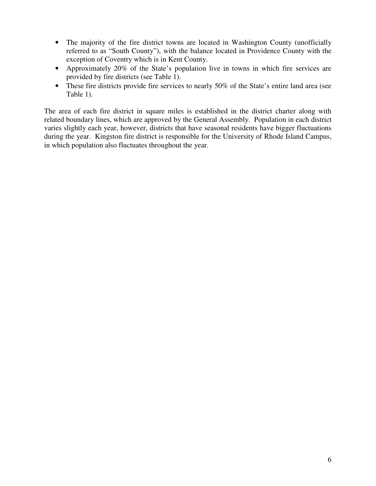- The majority of the fire district towns are located in Washington County (unofficially referred to as "South County"), with the balance located in Providence County with the exception of Coventry which is in Kent County.
- Approximately 20% of the State's population live in towns in which fire services are provided by fire districts (see Table 1).
- These fire districts provide fire services to nearly 50% of the State's entire land area (see Table 1).

The area of each fire district in square miles is established in the district charter along with related boundary lines, which are approved by the General Assembly. Population in each district varies slightly each year, however, districts that have seasonal residents have bigger fluctuations during the year. Kingston fire district is responsible for the University of Rhode Island Campus, in which population also fluctuates throughout the year.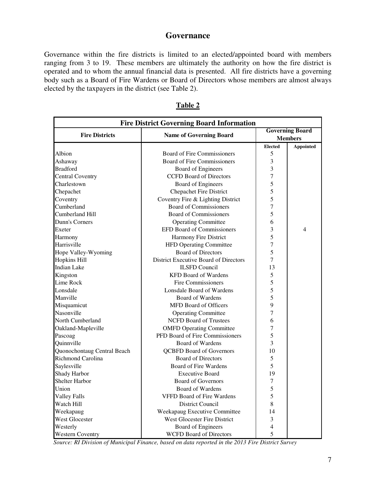## **Governance**

Governance within the fire districts is limited to an elected/appointed board with members ranging from 3 to 19. These members are ultimately the authority on how the fire district is operated and to whom the annual financial data is presented. All fire districts have a governing body such as a Board of Fire Wardens or Board of Directors whose members are almost always elected by the taxpayers in the district (see Table 2).

| <b>Fire District Governing Board Information</b> |                                       |                |                        |  |  |  |
|--------------------------------------------------|---------------------------------------|----------------|------------------------|--|--|--|
|                                                  |                                       |                | <b>Governing Board</b> |  |  |  |
| <b>Fire Districts</b>                            | <b>Name of Governing Board</b>        |                | <b>Members</b>         |  |  |  |
|                                                  |                                       | <b>Elected</b> | <b>Appointed</b>       |  |  |  |
| Albion                                           | <b>Board of Fire Commissioners</b>    | 5              |                        |  |  |  |
| Ashaway                                          | Board of Fire Commissioners           | 3              |                        |  |  |  |
| <b>Bradford</b>                                  | <b>Board of Engineers</b>             | 3              |                        |  |  |  |
| <b>Central Coventry</b>                          | <b>CCFD Board of Directors</b>        | 7              |                        |  |  |  |
| Charlestown                                      | <b>Board of Engineers</b>             | 5              |                        |  |  |  |
| Chepachet                                        | <b>Chepachet Fire District</b>        | 5              |                        |  |  |  |
| Coventry                                         | Coventry Fire & Lighting District     | 5              |                        |  |  |  |
| Cumberland                                       | <b>Board of Commissioners</b>         | 7              |                        |  |  |  |
| Cumberland Hill                                  | <b>Board of Commissioners</b>         | 5              |                        |  |  |  |
| Dunn's Corners                                   | <b>Operating Committee</b>            | 6              |                        |  |  |  |
| Exeter                                           | <b>EFD Board of Commissioners</b>     | 3              | 4                      |  |  |  |
| Harmony                                          | Harmony Fire District                 | 5              |                        |  |  |  |
| Harrisville                                      | HFD Operating Committee               | 7              |                        |  |  |  |
| Hope Valley-Wyoming                              | <b>Board of Directors</b>             | 5              |                        |  |  |  |
| <b>Hopkins Hill</b>                              | District Executive Board of Directors | 7              |                        |  |  |  |
| <b>Indian Lake</b>                               | <b>ILSFD Council</b>                  | 13             |                        |  |  |  |
| Kingston                                         | <b>KFD Board of Wardens</b>           | 5              |                        |  |  |  |
| Lime Rock                                        | Fire Commissioners                    | 5              |                        |  |  |  |
| Lonsdale                                         | Lonsdale Board of Wardens             | 5              |                        |  |  |  |
| Manville                                         | Board of Wardens                      | 5              |                        |  |  |  |
| Misquamicut                                      | <b>MFD Board of Officers</b>          | 9              |                        |  |  |  |
| Nasonville                                       | <b>Operating Committee</b>            | 7              |                        |  |  |  |
| North Cumberland                                 | <b>NCFD Board of Trustees</b>         | 6              |                        |  |  |  |
| Oakland-Mapleville                               | <b>OMFD Operating Committee</b>       | 7              |                        |  |  |  |
| Pascoag                                          | PFD Board of Fire Commissioners       | 5              |                        |  |  |  |
| Quinnville                                       | <b>Board of Wardens</b>               | 3              |                        |  |  |  |
| Quonochontaug Central Beach                      | <b>QCBFD Board of Governors</b>       | 10             |                        |  |  |  |
| Richmond Carolina                                | <b>Board of Directors</b>             | 5              |                        |  |  |  |
| Saylesville                                      | Board of Fire Wardens                 | 5              |                        |  |  |  |
| Shady Harbor                                     | <b>Executive Board</b>                | 19             |                        |  |  |  |
| <b>Shelter Harbor</b>                            | <b>Board of Governors</b>             | 7              |                        |  |  |  |
| Union                                            | Board of Wardens                      | 5              |                        |  |  |  |
| <b>Valley Falls</b>                              | <b>VFFD Board of Fire Wardens</b>     | 5              |                        |  |  |  |
| Watch Hill                                       | District Council                      | 8              |                        |  |  |  |
| Weekapaug                                        | Weekapaug Executive Committee         | 14             |                        |  |  |  |
| West Glocester                                   | West Glocester Fire District          | 3              |                        |  |  |  |
| Westerly                                         | Board of Engineers                    | 4              |                        |  |  |  |
| <b>Western Coventry</b>                          | <b>WCFD Board of Directors</b>        | 5              |                        |  |  |  |

| L<br>ı |  |
|--------|--|
|--------|--|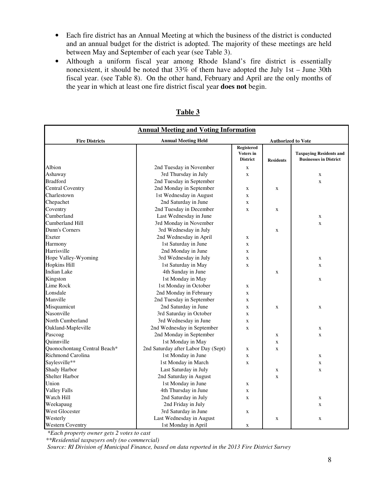- Each fire district has an Annual Meeting at which the business of the district is conducted and an annual budget for the district is adopted. The majority of these meetings are held between May and September of each year (see Table 3).
- Although a uniform fiscal year among Rhode Island's fire district is essentially nonexistent, it should be noted that 33% of them have adopted the July 1st – June 30th fiscal year. (see Table 8). On the other hand, February and April are the only months of the year in which at least one fire district fiscal year **does not** begin.

| <b>Annual Meeting and Voting Information</b> |                                     |                                            |                           |                                                                 |  |  |
|----------------------------------------------|-------------------------------------|--------------------------------------------|---------------------------|-----------------------------------------------------------------|--|--|
| <b>Fire Districts</b>                        | <b>Annual Meeting Held</b>          |                                            | <b>Authorized to Vote</b> |                                                                 |  |  |
|                                              |                                     | Registered<br>Voters in<br><b>District</b> | <b>Residents</b>          | <b>Taxpaying Residents and</b><br><b>Businesses in District</b> |  |  |
| Albion                                       | 2nd Tuesday in November             | $\mathbf X$                                |                           |                                                                 |  |  |
| Ashaway                                      | 3rd Thursday in July                | $\mathbf x$                                |                           | $\mathbf X$                                                     |  |  |
| <b>Bradford</b>                              | 2nd Tuesday in September            |                                            |                           | $\mathbf X$                                                     |  |  |
| <b>Central Coventry</b>                      | 2nd Monday in September             | X                                          | $\mathbf X$               |                                                                 |  |  |
| Charlestown                                  | 1st Wednesday in August             | X                                          |                           |                                                                 |  |  |
| Chepachet                                    | 2nd Saturday in June                | X                                          |                           |                                                                 |  |  |
| Coventry                                     | 2nd Tuesday in December             | X                                          | $\mathbf x$               |                                                                 |  |  |
| Cumberland                                   | Last Wednesday in June              |                                            |                           | $\mathbf X$                                                     |  |  |
| Cumberland Hill                              | 3rd Monday in November              |                                            |                           | $\mathbf X$                                                     |  |  |
| Dunn's Corners                               | 3rd Wednesday in July               |                                            | $\mathbf X$               |                                                                 |  |  |
| Exeter                                       | 2nd Wednesday in April              | X                                          |                           |                                                                 |  |  |
| Harmony                                      | 1st Saturday in June                | X                                          |                           |                                                                 |  |  |
| Harrisville                                  | 2nd Monday in June                  | X                                          |                           |                                                                 |  |  |
| Hope Valley-Wyoming                          | 3rd Wednesday in July               | X                                          |                           | $\mathbf X$                                                     |  |  |
| <b>Hopkins Hill</b>                          | 1st Saturday in May                 | X                                          |                           | $\mathbf x$                                                     |  |  |
| <b>Indian Lake</b>                           | 4th Sunday in June                  |                                            | $\mathbf X$               |                                                                 |  |  |
| Kingston                                     | 1st Monday in May                   |                                            |                           | $\mathbf{x}$                                                    |  |  |
| Lime Rock                                    | 1st Monday in October               | X                                          |                           |                                                                 |  |  |
| Lonsdale                                     | 2nd Monday in February              | X                                          |                           |                                                                 |  |  |
| Manville                                     | 2nd Tuesday in September            | X                                          |                           |                                                                 |  |  |
| Misquamicut                                  | 2nd Saturday in June                | X                                          | $\mathbf X$               | $\mathbf X$                                                     |  |  |
| Nasonville                                   | 3rd Saturday in October             | X                                          |                           |                                                                 |  |  |
| North Cumberland                             | 3rd Wednesday in June               | X                                          |                           |                                                                 |  |  |
| Oakland-Mapleville                           | 2nd Wednesday in September          | X                                          |                           | $\mathbf X$                                                     |  |  |
| Pascoag                                      | 2nd Monday in September             |                                            | $\mathbf X$               | $\mathbf X$                                                     |  |  |
| Quinnville                                   | 1st Monday in May                   |                                            | $\mathbf X$               |                                                                 |  |  |
| Quonochontaug Central Beach*                 | 2nd Saturday after Labor Day (Sept) | X                                          | $\mathbf x$               |                                                                 |  |  |
| Richmond Carolina                            | 1st Monday in June                  | $\mathbf X$                                |                           | $\mathbf X$                                                     |  |  |
| Saylesville**                                | 1st Monday in March                 | $\mathbf X$                                |                           | $\mathbf X$                                                     |  |  |
| Shady Harbor                                 | Last Saturday in July               |                                            | $\mathbf X$               | $\mathbf{x}$                                                    |  |  |
| <b>Shelter Harbor</b>                        | 2nd Saturday in August              |                                            | $\mathbf x$               |                                                                 |  |  |
| Union                                        | 1st Monday in June                  | X                                          |                           |                                                                 |  |  |
| <b>Valley Falls</b>                          | 4th Thursday in June                | X                                          |                           |                                                                 |  |  |
| Watch Hill                                   | 2nd Saturday in July                | X                                          |                           | $\mathbf X$                                                     |  |  |
| Weekapaug                                    | 2nd Friday in July                  |                                            |                           | $\mathbf X$                                                     |  |  |
| West Glocester                               | 3rd Saturday in June                | X                                          |                           |                                                                 |  |  |
| Westerly                                     | Last Wednesday in August            |                                            | $\mathbf X$               | $\mathbf X$                                                     |  |  |
| <b>Western Coventry</b>                      | 1st Monday in April                 | X                                          |                           |                                                                 |  |  |

| Ι<br>n<br>L |
|-------------|
|-------------|

 *\*Each property owner gets 2 votes to cast* 

 *\*\*Residential taxpayers only (no commercial)*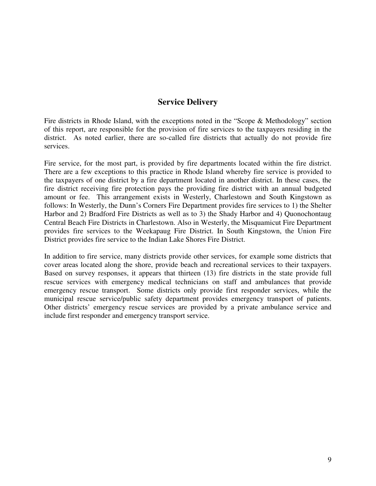## **Service Delivery**

Fire districts in Rhode Island, with the exceptions noted in the "Scope & Methodology" section of this report, are responsible for the provision of fire services to the taxpayers residing in the district. As noted earlier, there are so-called fire districts that actually do not provide fire services.

Fire service, for the most part, is provided by fire departments located within the fire district. There are a few exceptions to this practice in Rhode Island whereby fire service is provided to the taxpayers of one district by a fire department located in another district. In these cases, the fire district receiving fire protection pays the providing fire district with an annual budgeted amount or fee. This arrangement exists in Westerly, Charlestown and South Kingstown as follows: In Westerly, the Dunn's Corners Fire Department provides fire services to 1) the Shelter Harbor and 2) Bradford Fire Districts as well as to 3) the Shady Harbor and 4) Quonochontaug Central Beach Fire Districts in Charlestown. Also in Westerly, the Misquamicut Fire Department provides fire services to the Weekapaug Fire District. In South Kingstown, the Union Fire District provides fire service to the Indian Lake Shores Fire District.

In addition to fire service, many districts provide other services, for example some districts that cover areas located along the shore, provide beach and recreational services to their taxpayers. Based on survey responses, it appears that thirteen (13) fire districts in the state provide full rescue services with emergency medical technicians on staff and ambulances that provide emergency rescue transport. Some districts only provide first responder services, while the municipal rescue service/public safety department provides emergency transport of patients. Other districts' emergency rescue services are provided by a private ambulance service and include first responder and emergency transport service.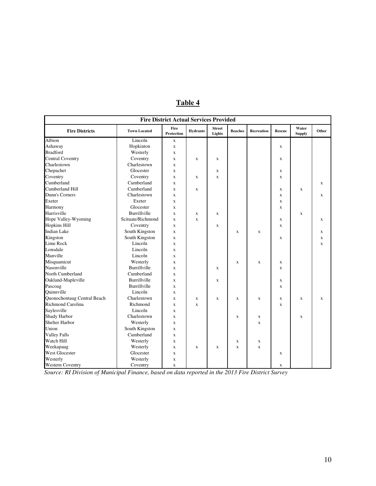| <b>Fire District Actual Services Provided</b> |                     |                    |                 |                         |                |             |                         |                        |             |
|-----------------------------------------------|---------------------|--------------------|-----------------|-------------------------|----------------|-------------|-------------------------|------------------------|-------------|
| <b>Fire Districts</b>                         | <b>Town Located</b> | Fire<br>Protection | <b>Hydrants</b> | <b>Street</b><br>Lights | <b>Beaches</b> | Recreation  | <b>Rescue</b>           | Water<br><b>Supply</b> | Other       |
| <b>Albion</b>                                 | Lincoln             | $\mathbf X$        |                 |                         |                |             |                         |                        |             |
| Ashaway                                       | Hopkinton           | $\mathbf X$        |                 |                         |                |             | $\mathbf x$             |                        |             |
| <b>Bradford</b>                               | Westerly            | $\mathbf X$        |                 |                         |                |             |                         |                        |             |
| <b>Central Coventry</b>                       | Coventry            | $\mathbf x$        | $\mathbf x$     | $\mathbf{X}$            |                |             | $\mathbf x$             |                        |             |
| Charlestown                                   | Charlestown         | $\mathbf x$        |                 |                         |                |             |                         |                        |             |
| Chepachet                                     | Glocester           | $\mathbf x$        |                 | $\mathbf X$             |                |             | $\mathbf x$             |                        |             |
| Coventry                                      | Coventry            | $\mathbf x$        | $\mathbf x$     | $\mathbf x$             |                |             | $\overline{\mathbf{X}}$ |                        |             |
| Cumberland                                    | Cumberland          | X                  |                 |                         |                |             |                         |                        | X           |
| Cumberland Hill                               | Cumberland          | X                  | $\mathbf X$     |                         |                |             | X                       | $\mathbf x$            |             |
| Dunn's Corners                                | Charlestown         | X                  |                 |                         |                |             | X                       |                        | X           |
| Exeter                                        | Exeter              | $\mathbf x$        |                 |                         |                |             | $\overline{\mathbf{X}}$ |                        |             |
| Harmony                                       | Glocester           | $\mathbf x$        |                 |                         |                |             | X                       |                        |             |
| Harrisville                                   | <b>Burrillville</b> | $\mathbf x$        | $\mathbf x$     | $\mathbf{x}$            |                |             |                         | $\mathbf x$            |             |
| Hope Valley-Wyoming                           | Scituate/Richmond   | $\mathbf x$        | $\mathbf x$     |                         |                |             | $\mathbf x$             |                        | $\mathbf X$ |
| <b>Hopkins Hill</b>                           | Coventry            | X                  |                 | X                       |                |             | X                       |                        |             |
| <b>Indian Lake</b>                            | South Kingston      | $\mathbf x$        |                 |                         | $\mathbf x$    | $\mathbf X$ |                         |                        | X           |
| Kingston                                      | South Kingston      | $\mathbf x$        |                 |                         |                |             | $\mathbf x$             |                        | $\mathbf X$ |
| Lime Rock                                     | Lincoln             | $\mathbf x$        |                 |                         |                |             |                         |                        | $\mathbf x$ |
| Lonsdale                                      | Lincoln             | $\mathbf X$        |                 |                         |                |             |                         |                        |             |
| Manville                                      | Lincoln             | $\mathbf X$        |                 |                         |                |             |                         |                        |             |
| Misquamicut                                   | Westerly            | X                  |                 |                         | $\mathbf X$    | $\mathbf x$ | X                       |                        |             |
| Nasonville                                    | Burrillville        | X                  |                 | $\mathbf{X}$            |                |             | X                       |                        |             |
| North Cumberland                              | Cumberland          | $\mathbf x$        |                 |                         |                |             |                         |                        |             |
| Oakland-Mapleville                            | <b>Burrillville</b> | $\mathbf x$        |                 | $\mathbf X$             |                |             | $\mathbf x$             |                        |             |
| Pascoag                                       | Burrillville        | $\mathbf X$        |                 |                         |                |             | X                       |                        |             |
| Quinnville                                    | Lincoln             | $\mathbf X$        |                 |                         |                |             |                         |                        |             |
| Quonochontaug Central Beach                   | Charlestown         | $\mathbf X$        | $\mathbf X$     | $\mathbf x$             | $\mathbf X$    | $\mathbf X$ | X                       | $\mathbf x$            | $\mathbf X$ |
| <b>Richmond Carolina</b>                      | Richmond            | $\mathbf x$        | $\mathbf x$     |                         |                |             | $\mathbf x$             |                        |             |
| Saylesville                                   | Lincoln             | $\mathbf x$        |                 |                         |                |             |                         |                        |             |
| Shady Harbor                                  | Charlestown         | $\mathbf x$        |                 |                         | $\mathbf x$    | X           |                         | $\mathbf x$            |             |
| <b>Shelter Harbor</b>                         | Westerly            | $\mathbf X$        |                 |                         |                | $\mathbf x$ |                         |                        |             |
| Union                                         | South Kingston      | $\mathbf X$        |                 |                         |                |             |                         |                        |             |
| <b>Valley Falls</b>                           | Cumberland          | X                  |                 |                         |                |             |                         |                        |             |
| Watch Hill                                    | Westerly            | X                  |                 |                         | X              | X           |                         |                        |             |
| Weekapaug                                     | Westerly            | $\mathbf x$        | $\mathbf x$     | $\mathbf x$             | $\mathbf{x}$   | $\mathbf x$ |                         |                        |             |
| West Glocester                                | Glocester           | $\mathbf X$        |                 |                         |                |             | X                       |                        |             |
| Westerly                                      | Westerly            | $\mathbf X$        |                 |                         |                |             |                         |                        |             |
| <b>Western Coventry</b>                       | Coventry            | $\mathbf x$        |                 |                         |                |             | X                       |                        |             |

## **Table 4**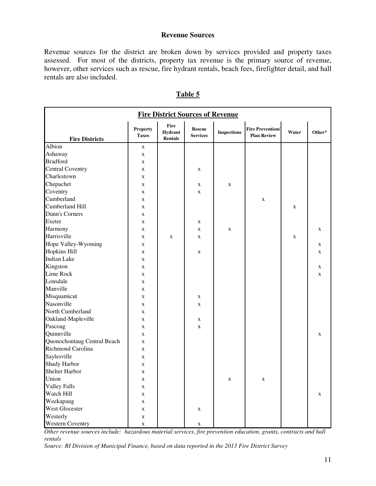#### **Revenue Sources**

Revenue sources for the district are broken down by services provided and property taxes assessed. For most of the districts, property tax revenue is the primary source of revenue, however, other services such as rescue, fire hydrant rentals, beach fees, firefighter detail, and hall rentals are also included.

| <b>Fire District Sources of Revenue</b> |                                 |                            |                                  |                    |                                               |             |             |  |
|-----------------------------------------|---------------------------------|----------------------------|----------------------------------|--------------------|-----------------------------------------------|-------------|-------------|--|
| <b>Fire Districts</b>                   | <b>Property</b><br><b>Taxes</b> | Fire<br>Hydrant<br>Rentals | <b>Rescue</b><br><b>Services</b> | <b>Inspections</b> | <b>Fire Prevention/</b><br><b>Plan Review</b> | Water       | Other*      |  |
| Albion                                  | X                               |                            |                                  |                    |                                               |             |             |  |
| Ashaway                                 | X                               |                            |                                  |                    |                                               |             |             |  |
| <b>Bradford</b>                         | $\mathbf X$                     |                            |                                  |                    |                                               |             |             |  |
| <b>Central Coventry</b>                 | $\mathbf X$                     |                            | $\mathbf X$                      |                    |                                               |             |             |  |
| Charlestown                             | $\mathbf X$                     |                            |                                  |                    |                                               |             |             |  |
| Chepachet                               | $\mathbf X$                     |                            | X                                | $\mathbf X$        |                                               |             |             |  |
| Coventry                                | X                               |                            | X                                |                    |                                               |             |             |  |
| Cumberland                              | X                               |                            |                                  |                    | $\mathbf X$                                   |             |             |  |
| Cumberland Hill                         | X                               |                            |                                  |                    |                                               | X           |             |  |
| Dunn's Corners                          | $\mathbf X$                     |                            |                                  |                    |                                               |             |             |  |
| Exeter                                  | $\mathbf X$                     |                            | X                                |                    |                                               |             |             |  |
| Harmony                                 | $\mathbf X$                     |                            | $\mathbf X$                      | $\mathbf X$        |                                               |             | X           |  |
| Harrisville                             | $\mathbf X$                     | X                          | $\mathbf X$                      |                    |                                               | $\mathbf X$ |             |  |
| Hope Valley-Wyoming                     | $\mathbf X$                     |                            |                                  |                    |                                               |             | X           |  |
| <b>Hopkins Hill</b>                     | $\mathbf X$                     |                            | X                                |                    |                                               |             | $\mathbf X$ |  |
| <b>Indian Lake</b>                      | X                               |                            |                                  |                    |                                               |             |             |  |
| Kingston                                | X                               |                            |                                  |                    |                                               |             | X           |  |
| Lime Rock                               | X                               |                            |                                  |                    |                                               |             | $\mathbf X$ |  |
| Lonsdale                                | X                               |                            |                                  |                    |                                               |             |             |  |
| Manville                                | X                               |                            |                                  |                    |                                               |             |             |  |
| Misquamicut                             | X                               |                            | X                                |                    |                                               |             |             |  |
| Nasonville                              | X                               |                            | X                                |                    |                                               |             |             |  |
| North Cumberland                        | X                               |                            |                                  |                    |                                               |             |             |  |
| Oakland-Mapleville                      | $\mathbf X$                     |                            | X                                |                    |                                               |             |             |  |
| Pascoag                                 | $\mathbf X$                     |                            | X                                |                    |                                               |             |             |  |
| Quinnville                              | $\mathbf X$                     |                            |                                  |                    |                                               |             | $\mathbf X$ |  |
| Quonochontaug Central Beach             | $\mathbf X$                     |                            |                                  |                    |                                               |             |             |  |
| Richmond Carolina                       | $\mathbf X$                     |                            |                                  |                    |                                               |             |             |  |
| Saylesville                             | $\mathbf X$                     |                            |                                  |                    |                                               |             |             |  |
| Shady Harbor                            | $\mathbf X$                     |                            |                                  |                    |                                               |             |             |  |
| Shelter Harbor                          | X                               |                            |                                  |                    |                                               |             |             |  |
| Union                                   | $\mathbf X$                     |                            |                                  | $\mathbf X$        | X                                             |             |             |  |
| <b>Valley Falls</b>                     | X                               |                            |                                  |                    |                                               |             |             |  |
| Watch Hill                              | $\mathbf X$                     |                            |                                  |                    |                                               |             | $\mathbf X$ |  |
| Weekapaug                               | $\mathbf X$                     |                            |                                  |                    |                                               |             |             |  |
| West Glocester                          | $\mathbf X$                     |                            | $\mathbf X$                      |                    |                                               |             |             |  |
| Westerly                                | $\mathbf X$                     |                            |                                  |                    |                                               |             |             |  |
| <b>Western Coventry</b>                 | $\mathbf X$                     |                            | $\mathbf X$                      |                    |                                               |             |             |  |

#### **Table 5**

*Other revenue sources include: hazardous material services, fire prevention education, grants, contracts and hall rentals*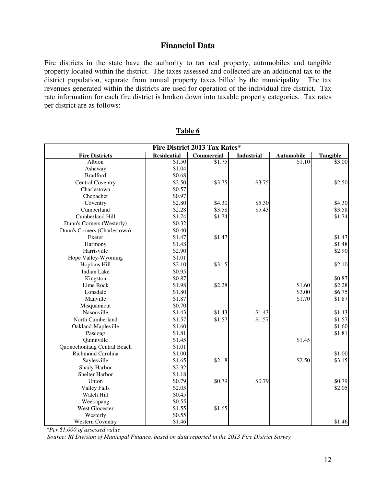## **Financial Data**

Fire districts in the state have the authority to tax real property, automobiles and tangible property located within the district. The taxes assessed and collected are an additional tax to the district population, separate from annual property taxes billed by the municipality. The tax revenues generated within the districts are used for operation of the individual fire district. Tax rate information for each fire district is broken down into taxable property categories. Tax rates per district are as follows:

| Fire District 2013 Tax Rates* |                    |            |                   |                   |                 |  |  |  |
|-------------------------------|--------------------|------------|-------------------|-------------------|-----------------|--|--|--|
| <b>Fire Districts</b>         | <b>Residential</b> | Commercial | <b>Industrial</b> | <b>Automobile</b> | <b>Tangible</b> |  |  |  |
| Albion                        | \$1.50             | \$1.75     |                   | \$1.10            | \$3.00          |  |  |  |
| Ashaway                       | \$1.04             |            |                   |                   |                 |  |  |  |
| <b>Bradford</b>               | \$0.68             |            |                   |                   |                 |  |  |  |
| <b>Central Coventry</b>       | \$2.50             | \$3.75     | \$3.75            |                   | \$2.50          |  |  |  |
| Charlestown                   | \$0.57             |            |                   |                   |                 |  |  |  |
| Chepachet                     | \$0.97             |            |                   |                   |                 |  |  |  |
| Coventry                      | \$2.80             | \$4.30     | \$5.30            |                   | \$4.30          |  |  |  |
| Cumberland                    | \$2.28             | \$3.58     | \$5.43            |                   | \$3.58          |  |  |  |
| Cumberland Hill               | \$1.74             | \$1.74     |                   |                   | \$1.74          |  |  |  |
| Dunn's Corners (Westerly)     | \$0.32             |            |                   |                   |                 |  |  |  |
| Dunn's Corners (Charlestown)  | \$0.40             |            |                   |                   |                 |  |  |  |
| Exeter                        | \$1.47             | \$1.47     |                   |                   | \$1.47          |  |  |  |
| Harmony                       | \$1.48             |            |                   |                   | \$1.48          |  |  |  |
| Harrisville                   | \$2.90             |            |                   |                   | \$2.90          |  |  |  |
| Hope Valley-Wyoming           | \$1.01             |            |                   |                   |                 |  |  |  |
| Hopkins Hill                  | \$2.10             | \$3.15     |                   |                   | \$2.10          |  |  |  |
| <b>Indian Lake</b>            | \$0.95             |            |                   |                   |                 |  |  |  |
| Kingston                      | \$0.87             |            |                   |                   | \$0.87          |  |  |  |
| Lime Rock                     | \$1.98             | \$2.28     |                   | \$1.60            | \$2.28          |  |  |  |
| Lonsdale                      | \$1.80             |            |                   | \$3.00            | \$6.75          |  |  |  |
| Manville                      | \$1.87             |            |                   | \$1.70            | \$1.87          |  |  |  |
| Misquamicut                   | \$0.70             |            |                   |                   |                 |  |  |  |
| Nasonville                    | \$1.43             | \$1.43     | \$1.43            |                   | \$1.43          |  |  |  |
| North Cumberland              | \$1.57             | \$1.57     | \$1.57            |                   | \$1.57          |  |  |  |
| Oakland-Mapleville            | \$1.60             |            |                   |                   | \$1.60          |  |  |  |
| Pascoag                       | \$1.81             |            |                   |                   | \$1.81          |  |  |  |
| Quinnville                    | \$1.45             |            |                   | \$1.45            |                 |  |  |  |
| Quonochontaug Central Beach   | \$1.01             |            |                   |                   |                 |  |  |  |
| Richmond Carolina             | \$1.00             |            |                   |                   | \$1.00          |  |  |  |
| Saylesville                   | \$1.65             | \$2.18     |                   | \$2.50            | \$3.15          |  |  |  |
| Shady Harbor                  | \$2.32             |            |                   |                   |                 |  |  |  |
| <b>Shelter Harbor</b>         | \$1.18             |            |                   |                   |                 |  |  |  |
| Union                         | \$0.79             | \$0.79     | \$0.79            |                   | \$0.79          |  |  |  |
| <b>Valley Falls</b>           | \$2.05             |            |                   |                   | \$2.05          |  |  |  |
| Watch Hill                    | \$0.45             |            |                   |                   |                 |  |  |  |
| Weekapaug                     | \$0.55             |            |                   |                   |                 |  |  |  |
| West Glocester                | \$1.55             | \$1.65     |                   |                   |                 |  |  |  |
| Westerly                      | \$0.55             |            |                   |                   |                 |  |  |  |
| <b>Western Coventry</b>       | \$1.46             |            |                   |                   | \$1.46          |  |  |  |

**Table 6** 

*\*Per \$1,000 of assessed value*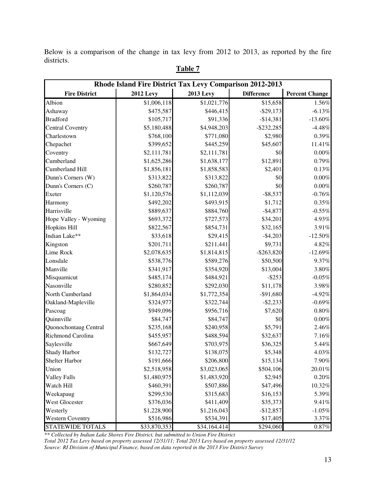Below is a comparison of the change in tax levy from 2012 to 2013, as reported by the fire districts.

| Rhode Island Fire District Tax Levy Comparison 2012-2013 |                  |                  |                   |                       |  |  |  |
|----------------------------------------------------------|------------------|------------------|-------------------|-----------------------|--|--|--|
| <b>Fire District</b>                                     | <b>2012 Levy</b> | <b>2013 Levy</b> | <b>Difference</b> | <b>Percent Change</b> |  |  |  |
| Albion                                                   | \$1,006,118      | \$1,021,776      | \$15,658          | $1.56\%$              |  |  |  |
| Ashaway                                                  | \$475,587        | \$446,415        | $-$ \$29,173      | $-6.13%$              |  |  |  |
| <b>Bradford</b>                                          | \$105,717        | \$91,336         | $-$14,381$        | $-13.60%$             |  |  |  |
| <b>Central Coventry</b>                                  | \$5,180,488      | \$4,948,203      | $-$ \$232,285     | $-4.48%$              |  |  |  |
| Charlestown                                              | \$768,100        | \$771,080        | \$2,980           | $0.39\%$              |  |  |  |
| Chepachet                                                | \$399,652        | \$445,259        | \$45,607          | $11.41\%$             |  |  |  |
| Coventry                                                 | \$2,111,781      | \$2,111,781      | \$0               | $0.00\%$              |  |  |  |
| Cumberland                                               | \$1,625,286      | \$1,638,177      | \$12,891          | 0.79%                 |  |  |  |
| Cumberland Hill                                          | \$1,856,181      | \$1,858,583      | \$2,401           | $0.13\%$              |  |  |  |
| Dunn's Corners (W)                                       | \$313,822        | \$313,822        | \$0               | $0.00\%$              |  |  |  |
| Dunn's Corners (C)                                       | \$260,787        | \$260,787        | \$0               | $0.00\%$              |  |  |  |
| Exeter                                                   | \$1,120,576      | \$1,112,039      | $-$ \$8,537       | $-0.76\%$             |  |  |  |
| Harmony                                                  | \$492,202        | \$493,915        | \$1,712           | $0.35\%$              |  |  |  |
| Harrisville                                              | \$889,637        | \$884,760        | $-$4,877$         | $-0.55\%$             |  |  |  |
| Hope Valley - Wyoming                                    | \$693,372        | \$727,573        | \$34,201          | 4.93%                 |  |  |  |
| <b>Hopkins Hill</b>                                      | \$822,567        | \$854,731        | \$32,165          | 3.91%                 |  |  |  |
| Indian Lake**                                            | \$33,618         | \$29,415         | $-$4,203$         | $-12.50%$             |  |  |  |
| Kingston                                                 | \$201,711        | \$211,441        | \$9,731           | 4.82%                 |  |  |  |
| Lime Rock                                                | \$2,078,635      | \$1,814,815      | $-$ \$263,820     | $-12.69%$             |  |  |  |
| Lonsdale                                                 | \$538,776        | \$589,276        | \$50,500          | 9.37%                 |  |  |  |
| Manville                                                 | \$341,917        | \$354,920        | \$13,004          | $3.80\%$              |  |  |  |
| Misquamicut                                              | \$485,174        | \$484,921        | $-$ \$253         | $-0.05\%$             |  |  |  |
| Nasonville                                               | \$280,852        | \$292,030        | \$11,178          | 3.98%                 |  |  |  |
| North Cumberland                                         | \$1,864,034      | \$1,772,354      | $-$91,680$        | $-4.92%$              |  |  |  |
| Oakland-Mapleville                                       | \$324,977        | \$322,744        | $-$ \$2,233       | -0.69%                |  |  |  |
| Pascoag                                                  | \$949,096        | \$956,716        | \$7,620           | $0.80\%$              |  |  |  |
| Quinnville                                               | \$84,747         | \$84,747         | \$0               | $0.00\%$              |  |  |  |
| Quonochontaug Central                                    | \$235,168        | \$240,958        | \$5,791           | 2.46%                 |  |  |  |
| Richmond Carolina                                        | \$455,957        | \$488,594        | \$32,637          | 7.16%                 |  |  |  |
| Saylesville                                              | \$667,649        | \$703,975        | \$36,325          | 5.44%                 |  |  |  |
| <b>Shady Harbor</b>                                      | \$132,727        | \$138,075        | \$5,348           | $4.03\%$              |  |  |  |
| Shelter Harbor                                           | \$191,666        | \$206,800        | \$15,134          | 7.90%                 |  |  |  |
| Union                                                    | \$2,518,958      | \$3,023,065      | \$504,106         | $20.01\%$             |  |  |  |
| <b>Valley Falls</b>                                      | \$1,480,975      | \$1,483,920      | \$2,945           | $0.20\%$              |  |  |  |
| Watch Hill                                               | \$460,391        | \$507,886        | \$47,496          | 10.32%                |  |  |  |
| Weekapaug                                                | \$299,530        | \$315,683        | \$16,153          | 5.39%                 |  |  |  |
| West Glocester                                           | \$376,036        | \$411,409        | \$35,373          | 9.41%                 |  |  |  |
| Westerly                                                 | \$1,228,900      | \$1,216,043      | $-$12,857$        | $-1.05%$              |  |  |  |
| <b>Western Coventry</b>                                  | \$516,986        | \$534,391        | \$17,405          | 3.37%                 |  |  |  |
| STATEWIDE TOTALS                                         | \$33,870,353     | \$34,164,414     | \$294,060         | $0.87\%$              |  |  |  |

## **Table 7**

*\*\* Collected by Indian Lake Shores Fire District, but submitted to Union Fire District Total 2012 Tax Levy based on property assessed 12/31/11; Total 2013 Levy based on property assessed 12/31/12 Source: RI Division of Municipal Finance, based on data reported in the 2013 Fire District Survey*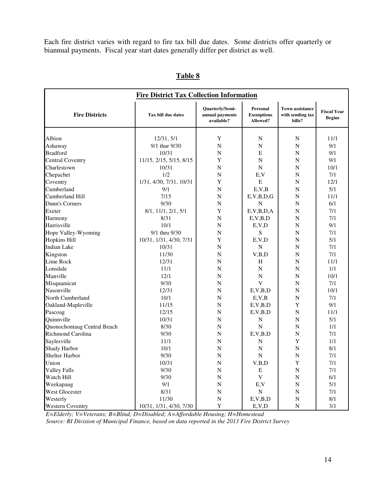Each fire district varies with regard to fire tax bill due dates. Some districts offer quarterly or biannual payments. Fiscal year start dates generally differ per district as well.

| <b>Fire District Tax Collection Information</b> |                         |                                                  |                                           |                                                      |                                     |  |  |
|-------------------------------------------------|-------------------------|--------------------------------------------------|-------------------------------------------|------------------------------------------------------|-------------------------------------|--|--|
| <b>Fire Districts</b>                           | Tax bill due dates      | Quarterly/Semi-<br>annual payments<br>available? | Personal<br><b>Exemptions</b><br>Allowed? | <b>Town assistance</b><br>with sending tax<br>bills? | <b>Fiscal Year</b><br><b>Begins</b> |  |  |
| Albion                                          | 12/31, 5/1              | Y                                                | N                                         | N                                                    | 11/1                                |  |  |
| Ashaway                                         | 9/1 thur 9/30           | $\overline{N}$                                   | $\mathbf N$                               | N                                                    | 9/1                                 |  |  |
| <b>Bradford</b>                                 | 10/31                   | $\overline{N}$                                   | E                                         | N                                                    | 9/1                                 |  |  |
| <b>Central Coventry</b>                         | 11/15, 2/15, 5/15, 8/15 | Y                                                | $\mathbf N$                               | N                                                    | 9/1                                 |  |  |
| Charlestown                                     | 10/31                   | $\mathbf N$                                      | ${\bf N}$                                 | N                                                    | 10/1                                |  |  |
| Chepachet                                       | 1/2                     | N                                                | E,V                                       | N                                                    | 7/1                                 |  |  |
| Coventry                                        | 1/31, 4/30, 7/31, 10/31 | Y                                                | E                                         | N                                                    | 12/1                                |  |  |
| Cumberland                                      | 9/1                     | $\overline{N}$                                   | E, V, B                                   | N                                                    | 5/1                                 |  |  |
| Cumberland Hill                                 | 7/15                    | N                                                | E, V, B, D, G                             | N                                                    | 11/1                                |  |  |
| Dunn's Corners                                  | 9/30                    | N                                                | $\mathbf N$                               | N                                                    | 6/1                                 |  |  |
| Exeter                                          | 8/1, 11/1, 2/1, 5/1     | Y                                                | E, V, B, D, A                             | N                                                    | 7/1                                 |  |  |
| Harmony                                         | 8/31                    | $\overline{N}$                                   | E, V, B, D                                | $\overline{N}$                                       | 7/1                                 |  |  |
| Harrisville                                     | 10/1                    | $\overline{N}$                                   | E, V, D                                   | $\overline{N}$                                       | 9/1                                 |  |  |
| Hope Valley-Wyoming                             | 9/1 thru 9/30           | $\overline{N}$                                   | S                                         | N                                                    | 7/1                                 |  |  |
| <b>Hopkins Hill</b>                             | 10/31, 1/31, 4/30, 7/31 | Y                                                | E, V, D                                   | N                                                    | 5/1                                 |  |  |
| <b>Indian Lake</b>                              | 10/31                   | N                                                | $\mathbf N$                               | N                                                    | 7/1                                 |  |  |
| Kingston                                        | 11/30                   | N                                                | V,B,D                                     | N                                                    | 7/1                                 |  |  |
| Lime Rock                                       | 12/31                   | N                                                | H                                         | N                                                    | 11/1                                |  |  |
| Lonsdale                                        | 11/1                    | N                                                | ${\bf N}$                                 | N                                                    | 1/1                                 |  |  |
| Manville                                        | 12/1                    | N                                                | $\mathbf N$                               | N                                                    | 10/1                                |  |  |
| Misquamicut                                     | 9/30                    | $\mathbf N$                                      | V                                         | N                                                    | 7/1                                 |  |  |
| Nasonville                                      | 12/31                   | $\overline{N}$                                   | E, V, B, D                                | $\mathbf N$                                          | 10/1                                |  |  |
| North Cumberland                                | 10/1                    | $\overline{N}$                                   | E, V, B                                   | $\overline{N}$                                       | 7/1                                 |  |  |
| Oakland-Mapleville                              | 11/15                   | $\overline{N}$                                   | E, V, B, D                                | Y                                                    | 9/1                                 |  |  |
| Pascoag                                         | 12/15                   | $\overline{N}$                                   | E, V, B, D                                | $\overline{N}$                                       | 11/1                                |  |  |
| Quinnville                                      | 10/31                   | $\overline{N}$                                   | N                                         | $\overline{N}$                                       | 5/1                                 |  |  |
| Quonochontaug Central Beach                     | 8/30                    | $\mathbf N$                                      | $\mathbf N$                               | $\overline{N}$                                       | 1/1                                 |  |  |
| Richmond Carolina                               | 9/30                    | $\mathbf N$                                      | E, V, B, D                                | N                                                    | 7/1                                 |  |  |
| Saylesville                                     | 11/1                    | N                                                | N                                         | Y                                                    | 1/1                                 |  |  |
| Shady Harbor                                    | 10/1                    | $\overline{N}$                                   | $\mathbf N$                               | $\mathbf N$                                          | 8/1                                 |  |  |
| <b>Shelter Harbor</b>                           | 9/30                    | $\mathbf N$                                      | $\mathbf N$                               | $\overline{N}$                                       | 7/1                                 |  |  |
| Union                                           | 10/31                   | ${\bf N}$                                        | V,B,D                                     | $\mathbf Y$                                          | 7/1                                 |  |  |
| <b>Valley Falls</b>                             | 9/30                    | ${\bf N}$                                        | E                                         | $\mathbf N$                                          | 7/1                                 |  |  |
| Watch Hill                                      | 9/30                    | ${\bf N}$                                        | $\mathbf V$                               | $\mathbf N$                                          | 6/1                                 |  |  |
| Weekapaug                                       | 9/1                     | ${\bf N}$                                        | E, V                                      | $\mathbf N$                                          | 5/1                                 |  |  |
| West Glocester                                  | 8/31                    | ${\bf N}$                                        | ${\bf N}$                                 | $\mathbf N$                                          | 7/1                                 |  |  |
| Westerly                                        | 11/30                   | ${\bf N}$                                        | E, V, B, D                                | ${\bf N}$                                            | 8/1                                 |  |  |
| <b>Western Coventry</b>                         | 10/31, 1/31, 4/30, 7/30 | $\mathbf Y$                                      | E, V, D                                   | $\overline{\rm N}$                                   | 3/1                                 |  |  |

## **Table 8**

 *E=Elderly; V=Veterans; B=Blind; D=Disabled; A=Affordable Housing; H=Homestead*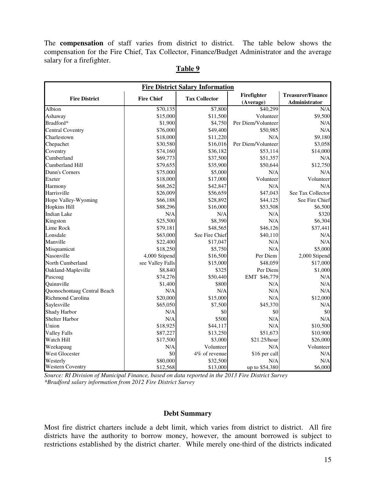The **compensation** of staff varies from district to district. The table below shows the compensation for the Fire Chief, Tax Collector, Finance/Budget Administrator and the average salary for a firefighter.

| <b>Fire District Salary Information</b> |                   |                      |                    |                          |  |  |  |
|-----------------------------------------|-------------------|----------------------|--------------------|--------------------------|--|--|--|
| <b>Fire District</b>                    | <b>Fire Chief</b> | <b>Tax Collector</b> | Firefighter        | <b>Treasurer/Finance</b> |  |  |  |
|                                         |                   |                      | (Average)          | Administrator            |  |  |  |
| Albion                                  | \$70,135          | \$7,800              | \$40,299           | N/A                      |  |  |  |
| Ashaway                                 | \$15,000          | \$11,500             | Volunteer          | \$9,500                  |  |  |  |
| Bradford*                               | \$1,900           | \$4,750              | Per Diem/Volunteer | N/A                      |  |  |  |
| <b>Central Coventry</b>                 | \$76,000          | \$49,400             | \$50,985           | N/A                      |  |  |  |
| Charlestown                             | \$18,000          | \$11,220             | N/A                | \$9,180                  |  |  |  |
| Chepachet                               | \$30,580          | \$16,016             | Per Diem/Volunteer | \$3,058                  |  |  |  |
| Coventry                                | \$74,160          | \$36,182             | \$53,114           | \$14,000                 |  |  |  |
| Cumberland                              | \$69,773          | \$37,500             | \$51,357           | N/A                      |  |  |  |
| Cumberland Hill                         | \$79,655          | \$35,900             | \$50,644           | \$12,750                 |  |  |  |
| Dunn's Corners                          | \$75,000          | \$5,000              | N/A                | N/A                      |  |  |  |
| Exeter                                  | \$18,000          | \$17,000             | Volunteer          | Volunteer                |  |  |  |
| Harmony                                 | \$68,262          | \$42,847             | N/A                | N/A                      |  |  |  |
| Harrisville                             | \$26,009          | \$56,659             | \$47,043           | See Tax Collector        |  |  |  |
| Hope Valley-Wyoming                     | \$66,188          | \$28,892             | \$44,125           | See Fire Chief           |  |  |  |
| <b>Hopkins Hill</b>                     | \$88,296          | \$16,000             | \$53,508           | \$6,500                  |  |  |  |
| <b>Indian Lake</b>                      | N/A               | N/A                  | N/A                | \$320                    |  |  |  |
| Kingston                                | \$25,500          | \$8,390              | N/A                | \$6,304                  |  |  |  |
| Lime Rock                               | \$79,181          | \$48,565             | \$46,126           | \$37,441                 |  |  |  |
| Lonsdale                                | \$63,000          | See Fire Chief       | \$40,110           | N/A                      |  |  |  |
| Manville                                | \$22,400          | \$17,047             | N/A                | N/A                      |  |  |  |
| Misquamicut                             | \$18,250          | \$5,750              | N/A                | \$5,000                  |  |  |  |
| Nasonville                              | 4,000 Stipend     | \$16,500             | Per Diem           | 2,000 Stipend            |  |  |  |
| North Cumberland                        | see Valley Falls  | \$15,000             | \$48,059           | \$17,000                 |  |  |  |
| Oakland-Mapleville                      | \$8,840           | \$325                | Per Diem           | \$1,000                  |  |  |  |
| Pascoag                                 | \$74,276          | \$50,440             | EMT \$46,779       | N/A                      |  |  |  |
| Quinnville                              | \$1,400           | \$800                | N/A                | N/A                      |  |  |  |
| Quonochontaug Central Beach             | N/A               | N/A                  | N/A                | N/A                      |  |  |  |
| Richmond Carolina                       | \$20,000          | \$15,000             | N/A                | \$12,000                 |  |  |  |
| Saylesville                             | \$65,050          | \$7,500              | \$45,370           | N/A                      |  |  |  |
| Shady Harbor                            | N/A               | \$0                  | \$0                | \$0                      |  |  |  |
| <b>Shelter Harbor</b>                   | N/A               | \$500                | N/A                | N/A                      |  |  |  |
| Union                                   | \$18,925          | \$44,117             | N/A                | \$10,500                 |  |  |  |
| <b>Valley Falls</b>                     | \$87,227          | \$13,250             | \$51,673           | \$10,900                 |  |  |  |
| Watch Hill                              | \$17,500          | \$3,000              | \$21.25/hour       | \$26,000                 |  |  |  |
| Weekapaug                               | N/A               | Volunteer            | N/A                | Volunteer                |  |  |  |
| West Glocester                          | \$0               | 4% of revenue        | \$16 per call      | N/A                      |  |  |  |
| Westerly                                | \$80,000          | \$32,500             | N/A                | N/A                      |  |  |  |
| <b>Western Coventry</b>                 | \$12,568          | \$13,000             | up to \$54,380     | \$6,000                  |  |  |  |

#### **Table 9**

*Source: RI Division of Municipal Finance, based on data reported in the 2013 Fire District Survey \*Bradford salary information from 2012 Fire District Survey* 

#### **Debt Summary**

Most fire district charters include a debt limit, which varies from district to district. All fire districts have the authority to borrow money, however, the amount borrowed is subject to restrictions established by the district charter. While merely one-third of the districts indicated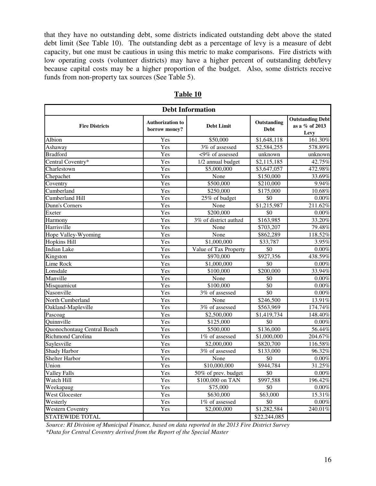that they have no outstanding debt, some districts indicated outstanding debt above the stated debt limit (See Table 10). The outstanding debt as a percentage of levy is a measure of debt capacity, but one must be cautious in using this metric to make comparisons. Fire districts with low operating costs (volunteer districts) may have a higher percent of outstanding debt/levy because capital costs may be a higher proportion of the budget. Also, some districts receive funds from non-property tax sources (See Table 5).

| <b>Debt Information</b>     |                                          |                                                 |                 |                                                   |  |  |  |  |
|-----------------------------|------------------------------------------|-------------------------------------------------|-----------------|---------------------------------------------------|--|--|--|--|
| <b>Fire Districts</b>       | <b>Authorization to</b><br>borrow money? | Outstanding<br><b>Debt Limit</b><br><b>Debt</b> |                 | <b>Outstanding Debt</b><br>as a % of 2013<br>Levy |  |  |  |  |
| Albion                      | Yes                                      | \$50,000                                        | \$1,648,118     | 161.30%                                           |  |  |  |  |
| Ashaway                     | Yes                                      | $\frac{3\%}{3\%}$ of assessed                   | \$2,584,255     | 578.89%                                           |  |  |  |  |
| <b>Bradford</b>             | Yes                                      | <9% of assessed                                 | unknown         | unknown                                           |  |  |  |  |
| Central Coventry*           | Yes                                      | 1/2 annual budget                               | \$2,115,185     | 42.75%                                            |  |  |  |  |
| Charlestown                 | Yes                                      | \$5,000,000                                     | \$3,647,057     | 472.98%                                           |  |  |  |  |
| Chepachet                   | Yes                                      | None                                            | \$150,000       | 33.69%                                            |  |  |  |  |
| Coventry                    | Yes                                      | \$500,000                                       | \$210,000       | 9.94%                                             |  |  |  |  |
| Cumberland                  | Yes                                      | \$250,000                                       | \$175,000       | 10.68%                                            |  |  |  |  |
| <b>Cumberland Hill</b>      | Yes                                      | 25% of budget                                   | \$0             | $0.00\%$                                          |  |  |  |  |
| Dunn's Corners              | Yes                                      | None                                            | \$1,215,987     | 211.62%                                           |  |  |  |  |
| Exeter                      | Yes                                      | \$200,000                                       | \$0             | $0.00\%$                                          |  |  |  |  |
| Harmony                     | Yes                                      | 3% of district authzd                           | \$163,985       | 33.20%                                            |  |  |  |  |
| Harrisville                 | Yes                                      | None                                            | \$703,207       | 79.48%                                            |  |  |  |  |
| Hope Valley-Wyoming         | Yes                                      | None                                            | \$862,289       | 118.52%                                           |  |  |  |  |
| <b>Hopkins Hill</b>         | Yes                                      | \$1,000,000                                     | \$33,787        | 3.95%                                             |  |  |  |  |
| <b>Indian Lake</b>          | Yes                                      | Value of Tax Property                           | \$0             | $0.00\%$                                          |  |  |  |  |
| Kingston                    | Yes                                      | \$970,000                                       | \$927,356       | 438.59%                                           |  |  |  |  |
| Lime Rock                   | Yes                                      | \$1,000,000                                     | $\overline{50}$ | $0.00\%$                                          |  |  |  |  |
| Lonsdale                    | Yes                                      | \$100,000                                       | \$200,000       | 33.94%                                            |  |  |  |  |
| Manville                    | Yes                                      | None                                            | \$0             | $0.00\%$                                          |  |  |  |  |
| Misquamicut                 | Yes                                      | \$100,000                                       | $\overline{50}$ | 0.00%                                             |  |  |  |  |
| Nasonville                  | Yes                                      | 3% of assessed                                  | \$0             | 0.00%                                             |  |  |  |  |
| North Cumberland            | Yes                                      | None                                            | \$246,500       | 13.91%                                            |  |  |  |  |
| Oakland-Mapleville          | Yes                                      | 3% of assessed                                  | \$563,969       | 174.74%                                           |  |  |  |  |
| Pascoag                     | Yes                                      | \$2,500,000                                     | \$1,419,734     | 148.40%                                           |  |  |  |  |
| Quinnville                  | Yes                                      | \$125,000                                       | $\overline{50}$ | $0.00\%$                                          |  |  |  |  |
| Quonochontaug Central Beach | Yes                                      | \$500,000                                       | \$136,000       | 56.44%                                            |  |  |  |  |
| Richmond Carolina           | Yes                                      | 1% of assessed                                  | \$1,000,000     | 204.67%                                           |  |  |  |  |
| Saylesville                 | Yes                                      | \$2,000,000                                     | \$820,700       | 116.58%                                           |  |  |  |  |
| <b>Shady Harbor</b>         | Yes                                      | 3% of assessed                                  | \$133,000       | 96.32%                                            |  |  |  |  |
| <b>Shelter Harbor</b>       | Yes                                      | None                                            | \$0             | $0.00\%$                                          |  |  |  |  |
| Union                       | Yes                                      | \$10,000,000                                    | \$944,784       | 31.25%                                            |  |  |  |  |
| <b>Valley Falls</b>         | Yes                                      | 50% of prev. budget                             | \$0             | 0.00%                                             |  |  |  |  |
| Watch Hill                  | Yes                                      | $$100,000$ on TAN                               | \$997,588       | 196.42%                                           |  |  |  |  |
| Weekapaug                   | Yes                                      | \$75,000                                        | \$0             | 0.00%                                             |  |  |  |  |
| <b>West Glocester</b>       | Yes                                      | \$630,000                                       | \$63,000        | 15.31%                                            |  |  |  |  |
| Westerly                    | Yes                                      | 1% of assessed                                  | $\overline{50}$ | $0.00\%$                                          |  |  |  |  |
| <b>Western Coventry</b>     | Yes                                      | \$2,000,000                                     | \$1,282,584     | 240.01%                                           |  |  |  |  |
| <b>STATEWIDE TOTAL</b>      |                                          |                                                 | \$22,244,085    |                                                   |  |  |  |  |

**Table 10** 

*Source: RI Division of Municipal Finance, based on data reported in the 2013 Fire District Survey \*Data for Central Coventry derived from the Report of the Special Master*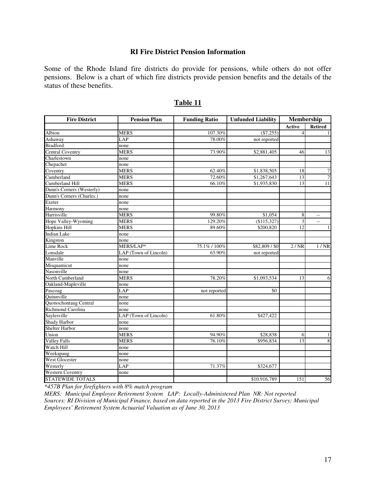#### **RI Fire District Pension Information**

Some of the Rhode Island fire districts do provide for pensions, while others do not offer pensions. Below is a chart of which fire districts provide pension benefits and the details of the status of these benefits.

| <b>Fire District</b>      | <b>Pension Plan</b>   | <b>Funding Ratio</b> | <b>Unfunded Liability</b> | Membership     |                          |
|---------------------------|-----------------------|----------------------|---------------------------|----------------|--------------------------|
|                           |                       |                      |                           | Active         | <b>Retired</b>           |
| Albion                    | <b>MERS</b>           | 107.30%              | $(\$7,255)$               | $\overline{4}$ | 1                        |
| Ashaway                   | LAP                   | 78.00%               | not reported              |                |                          |
| <b>Bradford</b>           | none                  |                      |                           |                |                          |
| Central Coventry          | <b>MERS</b>           | 73.90%               | \$2,881,405               | 46             | 13                       |
| Charlestown               | none                  |                      |                           |                |                          |
| Chepachet                 | none                  |                      |                           |                |                          |
| Coventry                  | <b>MERS</b>           | 62.40%               | \$1,838,505               | 18             | $\boldsymbol{7}$         |
| Cumberland                | <b>MERS</b>           | 72.60%               | \$1,267,643               | 13             | 7                        |
| Cumberland Hill           | <b>MERS</b>           | 66.10%               | \$1,935,830               | 13             | 11                       |
| Dunn's Corners (Westerly) | none                  |                      |                           |                |                          |
| Dunn's Corners (Charles.) | none                  |                      |                           |                |                          |
| Exeter                    | none                  |                      |                           |                |                          |
| Harmony                   | none                  |                      |                           |                |                          |
| Harrisville               | <b>MERS</b>           | 99.80%               | \$1,054                   | 8              | $\sim$ $\sim$            |
| Hope Valley-Wyoming       | <b>MERS</b>           | 129.20%              | (\$115,327)               | 3              | Ξ.                       |
| <b>Hopkins Hill</b>       | <b>MERS</b>           | 89.60%               | \$200,820                 | 12             | $\overline{1}$           |
| <b>Indian Lake</b>        | none                  |                      |                           |                |                          |
| Kingston                  | none                  |                      |                           |                |                          |
| Lime Rock                 | MERS/LAP*             | 75.1% / 100%         | \$82,809 / \$0            | 2/NR           | $1/\overline{\text{NR}}$ |
| Lonsdale                  | LAP (Town of Lincoln) | 63.90%               | not reported              |                |                          |
| Manville                  | none                  |                      |                           |                |                          |
| Misquamicut               | none                  |                      |                           |                |                          |
| Nasonville                | none                  |                      |                           |                |                          |
| North Cumberland          | <b>MERS</b>           | 78.20%               | \$1,093,534               | 13             | 6                        |
| Oakland-Mapleville        | none                  |                      |                           |                |                          |
| Pascoag                   | LAP                   | not reported         | \$0                       |                |                          |
| Quinnville                | none                  |                      |                           |                |                          |
| Quonochontaug Central     | none                  |                      |                           |                |                          |
| <b>Richmond Carolina</b>  | none                  |                      |                           |                |                          |
| Saylesville               | LAP (Town of Lincoln) | 61.80%               | \$427,422                 |                |                          |
| Shady Harbor              | none                  |                      |                           |                |                          |
| <b>Shelter Harbor</b>     | none                  |                      |                           |                |                          |
| Union                     | <b>MERS</b>           | 94.90%               | \$28,838                  | 6              | $\mathbf{1}$             |
| <b>Valley Falls</b>       | <b>MERS</b>           | 76.10%               | \$956,834                 | 13             | $\overline{8}$           |
| Watch Hill                | none                  |                      |                           |                |                          |
| Weekapaug                 | none                  |                      |                           |                |                          |
| <b>West Glocester</b>     | none                  |                      |                           |                |                          |
| Westerly                  | LAP                   | 71.37%               | \$324,677                 |                |                          |
| <b>Western Coventry</b>   | none                  |                      |                           |                |                          |
| <b>STATEWIDE TOTALS</b>   |                       |                      | \$10,916,789              | 151            | 56                       |

#### **Table 11**

*\*457B Plan for firefighters with 8% match program* 

*MERS: Municipal Employee Retirement System LAP: Locally-Administered Plan NR: Not reported Sources: RI Division of Municipal Finance, based on data reported in the 2013 Fire District Survey; Municipal Employees' Retirement System Actuarial Valuation as of June 30, 2013*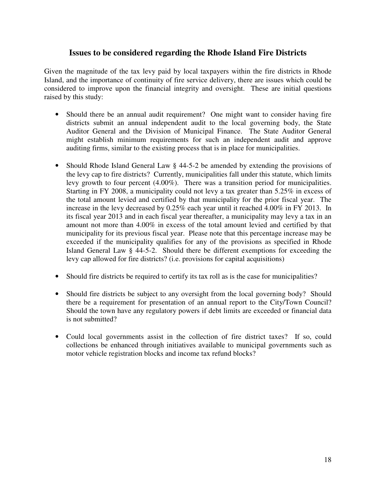## **Issues to be considered regarding the Rhode Island Fire Districts**

Given the magnitude of the tax levy paid by local taxpayers within the fire districts in Rhode Island, and the importance of continuity of fire service delivery, there are issues which could be considered to improve upon the financial integrity and oversight. These are initial questions raised by this study:

- Should there be an annual audit requirement? One might want to consider having fire districts submit an annual independent audit to the local governing body, the State Auditor General and the Division of Municipal Finance. The State Auditor General might establish minimum requirements for such an independent audit and approve auditing firms, similar to the existing process that is in place for municipalities.
- Should Rhode Island General Law § 44-5-2 be amended by extending the provisions of the levy cap to fire districts? Currently, municipalities fall under this statute, which limits levy growth to four percent (4.00%). There was a transition period for municipalities. Starting in FY 2008, a municipality could not levy a tax greater than 5.25% in excess of the total amount levied and certified by that municipality for the prior fiscal year. The increase in the levy decreased by 0.25% each year until it reached 4.00% in FY 2013. In its fiscal year 2013 and in each fiscal year thereafter, a municipality may levy a tax in an amount not more than 4.00% in excess of the total amount levied and certified by that municipality for its previous fiscal year. Please note that this percentage increase may be exceeded if the municipality qualifies for any of the provisions as specified in Rhode Island General Law § 44-5-2. Should there be different exemptions for exceeding the levy cap allowed for fire districts? (i.e. provisions for capital acquisitions)
- Should fire districts be required to certify its tax roll as is the case for municipalities?
- Should fire districts be subject to any oversight from the local governing body? Should there be a requirement for presentation of an annual report to the City/Town Council? Should the town have any regulatory powers if debt limits are exceeded or financial data is not submitted?
- Could local governments assist in the collection of fire district taxes? If so, could collections be enhanced through initiatives available to municipal governments such as motor vehicle registration blocks and income tax refund blocks?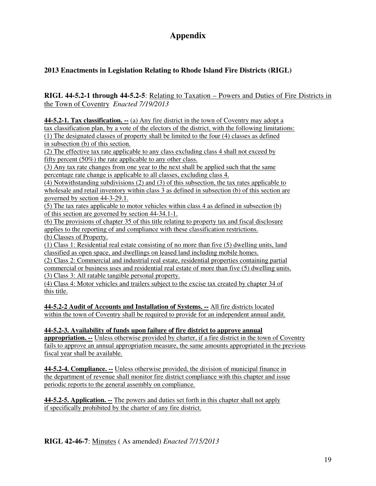## **Appendix**

## **2013 Enactments in Legislation Relating to Rhode Island Fire Districts (RIGL)**

#### **RIGL 44-5.2-1 through 44-5.2-5**: Relating to Taxation – Powers and Duties of Fire Districts in the Town of Coventry *Enacted 7/19/2013*

**44-5.2-1. Tax classification. --** (a) Any fire district in the town of Coventry may adopt a

tax classification plan, by a vote of the electors of the district, with the following limitations: (1) The designated classes of property shall be limited to the four (4) classes as defined in subsection (b) of this section.

(2) The effective tax rate applicable to any class excluding class 4 shall not exceed by fifty percent (50%) the rate applicable to any other class.

(3) Any tax rate changes from one year to the next shall be applied such that the same percentage rate change is applicable to all classes, excluding class 4.

(4) Notwithstanding subdivisions (2) and (3) of this subsection, the tax rates applicable to wholesale and retail inventory within class 3 as defined in subsection (b) of this section are governed by section 44-3-29.1.

(5) The tax rates applicable to motor vehicles within class 4 as defined in subsection (b) of this section are governed by section 44-34.1-1.

(6) The provisions of chapter 35 of this title relating to property tax and fiscal disclosure applies to the reporting of and compliance with these classification restrictions. (b) Classes of Property.

(1) Class 1: Residential real estate consisting of no more than five (5) dwelling units, land classified as open space, and dwellings on leased land including mobile homes.

(2) Class 2: Commercial and industrial real estate, residential properties containing partial commercial or business uses and residential real estate of more than five (5) dwelling units. (3) Class 3: All ratable tangible personal property.

(4) Class 4: Motor vehicles and trailers subject to the excise tax created by chapter 34 of this title.

**44-5.2-2 Audit of Accounts and Installation of Systems. --** All fire districts located within the town of Coventry shall be required to provide for an independent annual audit.

**44-5.2-3. Availability of funds upon failure of fire district to approve annual appropriation. --** Unless otherwise provided by charter, if a fire district in the town of Coventry fails to approve an annual appropriation measure, the same amounts appropriated in the previous fiscal year shall be available.

**44-5.2-4. Compliance. --** Unless otherwise provided, the division of municipal finance in the department of revenue shall monitor fire district compliance with this chapter and issue periodic reports to the general assembly on compliance.

**44-5.2-5. Application. --** The powers and duties set forth in this chapter shall not apply if specifically prohibited by the charter of any fire district.

**RIGL 42-46-7**: Minutes ( As amended) *Enacted 7/15/2013*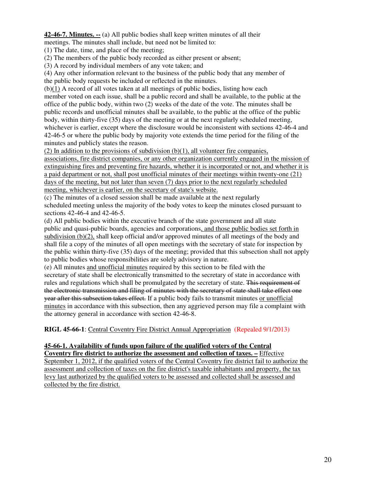**42-46-7. Minutes. --** (a) All public bodies shall keep written minutes of all their meetings. The minutes shall include, but need not be limited to:

(1) The date, time, and place of the meeting;

(2) The members of the public body recorded as either present or absent;

(3) A record by individual members of any vote taken; and

(4) Any other information relevant to the business of the public body that any member of the public body requests be included or reflected in the minutes.

(b)(1) A record of all votes taken at all meetings of public bodies, listing how each member voted on each issue, shall be a public record and shall be available, to the public at the office of the public body, within two (2) weeks of the date of the vote. The minutes shall be public records and unofficial minutes shall be available, to the public at the office of the public body, within thirty-five (35) days of the meeting or at the next regularly scheduled meeting, whichever is earlier, except where the disclosure would be inconsistent with sections 42-46-4 and 42-46-5 or where the public body by majority vote extends the time period for the filing of the minutes and publicly states the reason.

 $(2)$  In addition to the provisions of subdivision  $(b)(1)$ , all volunteer fire companies, associations, fire district companies, or any other organization currently engaged in the mission of extinguishing fires and preventing fire hazards, whether it is incorporated or not, and whether it is a paid department or not, shall post unofficial minutes of their meetings within twenty-one (21) days of the meeting, but not later than seven (7) days prior to the next regularly scheduled meeting, whichever is earlier, on the secretary of state's website.

(c) The minutes of a closed session shall be made available at the next regularly scheduled meeting unless the majority of the body votes to keep the minutes closed pursuant to sections 42-46-4 and 42-46-5.

(d) All public bodies within the executive branch of the state government and all state public and quasi-public boards, agencies and corporations, and those public bodies set forth in subdivision (b)(2), shall keep official and/or approved minutes of all meetings of the body and shall file a copy of the minutes of all open meetings with the secretary of state for inspection by the public within thirty-five (35) days of the meeting; provided that this subsection shall not apply to public bodies whose responsibilities are solely advisory in nature.

(e) All minutes and unofficial minutes required by this section to be filed with the secretary of state shall be electronically transmitted to the secretary of state in accordance with rules and regulations which shall be promulgated by the secretary of state. This requirement of the electronic transmission and filing of minutes with the secretary of state shall take effect one year after this subsection takes effect. If a public body fails to transmit minutes or unofficial minutes in accordance with this subsection, then any aggrieved person may file a complaint with the attorney general in accordance with section 42-46-8.

**RIGL 45-66-1**: Central Coventry Fire District Annual Appropriation (Repealed 9/1/2013)

#### **45-66-1. Availability of funds upon failure of the qualified voters of the Central**

**Coventry fire district to authorize the assessment and collection of taxes. –** Effective September 1, 2012, if the qualified voters of the Central Coventry fire district fail to authorize the assessment and collection of taxes on the fire district's taxable inhabitants and property, the tax levy last authorized by the qualified voters to be assessed and collected shall be assessed and collected by the fire district.